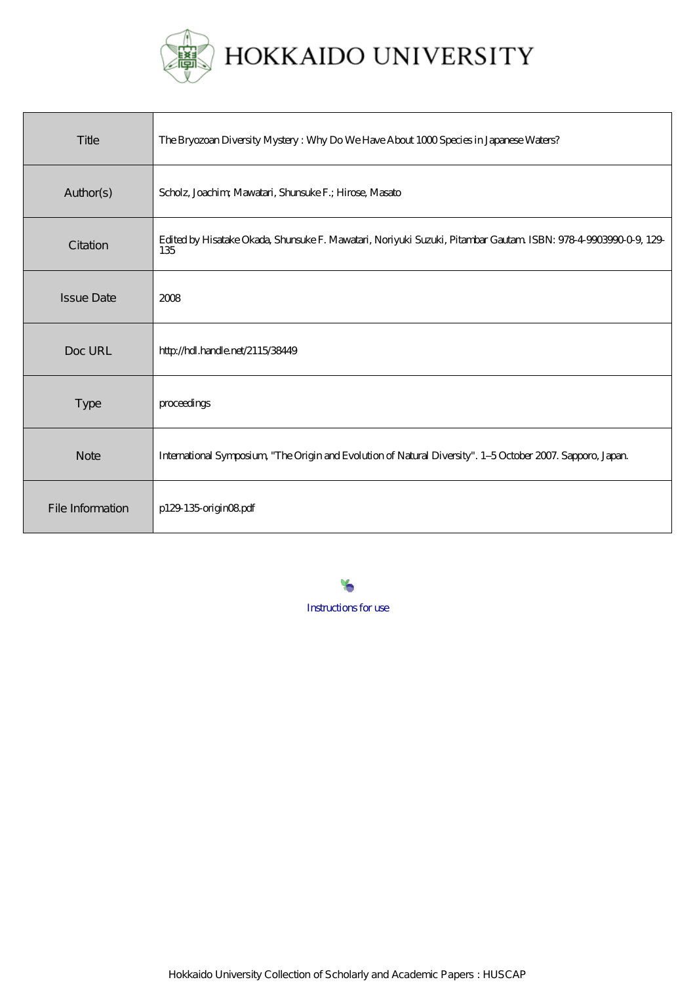

HOKKAIDO UNIVERSITY

| Title             | The Bryozoan Diversity Mystery: Why Do We Have About 1000 Species in Japanese Waters?                                 |
|-------------------|-----------------------------------------------------------------------------------------------------------------------|
| Author(s)         | Scholz, Joachim, Mawatari, Shunsuke F.; Hirose, Masato                                                                |
| Citation          | Edited by Hisatake Okada, Shunsuke F. Mawatari, Noriyuki Suzuki, Pitambar Gautam ISBN: 978-4-9003990-0-9, 129-<br>135 |
| <b>Issue Date</b> | 2008                                                                                                                  |
| Doc URL           | http://hdl.handle.net/2115/38449                                                                                      |
| Type              | proceedings                                                                                                           |
| <b>Note</b>       | International Symposium, "The Origin and Evolution of Natural Diversity". 1-5 October 2007. Sapporo, Japan            |
| File Information  | p129-135-originO8pdf                                                                                                  |

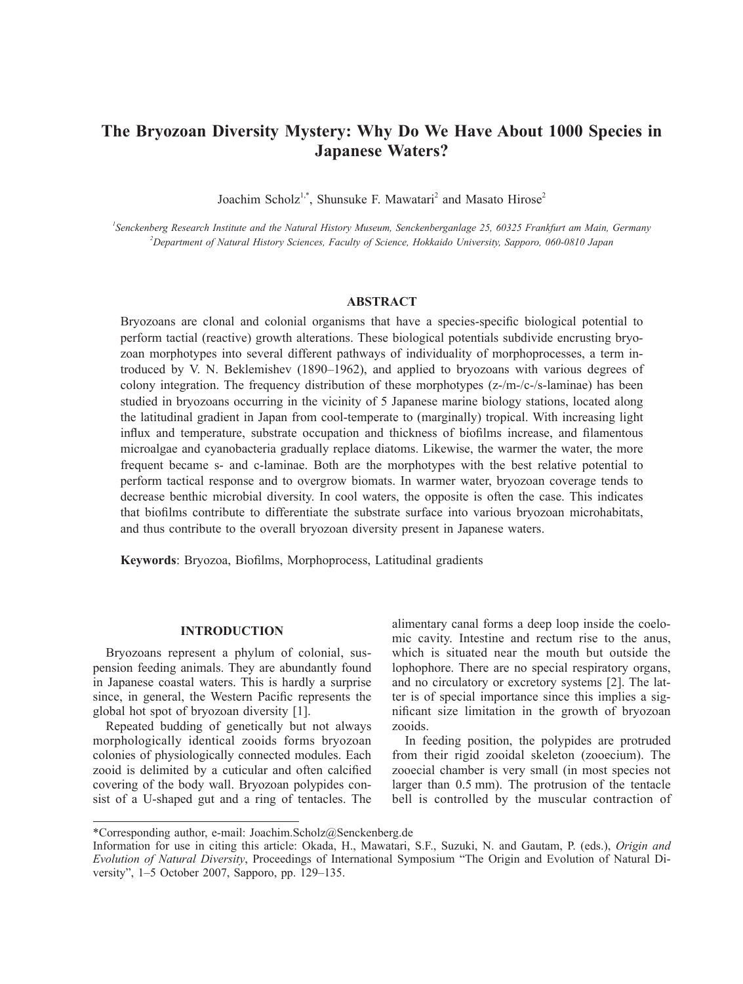# **The Bryozoan Diversity Mystery: Why Do We Have About 1000 Species in Japanese Waters?**

Joachim Scholz<sup>1,\*</sup>, Shunsuke F. Mawatari<sup>2</sup> and Masato Hirose<sup>2</sup>

*1 Senckenberg Research Institute and the Natural History Museum, Senckenberganlage 25, 60325 Frankfurt am Main, Germany 2 Department of Natural History Sciences, Faculty of Science, Hokkaido University, Sapporo, 060-0810 Japan*

# **ABSTRACT**

Bryozoans are clonal and colonial organisms that have a species-specific biological potential to perform tactial (reactive) growth alterations. These biological potentials subdivide encrusting bryozoan morphotypes into several different pathways of individuality of morphoprocesses, a term introduced by V. N. Beklemishev (1890–1962), and applied to bryozoans with various degrees of colony integration. The frequency distribution of these morphotypes (z-/m-/c-/s-laminae) has been studied in bryozoans occurring in the vicinity of 5 Japanese marine biology stations, located along the latitudinal gradient in Japan from cool-temperate to (marginally) tropical. With increasing light influx and temperature, substrate occupation and thickness of biofilms increase, and filamentous microalgae and cyanobacteria gradually replace diatoms. Likewise, the warmer the water, the more frequent became s- and c-laminae. Both are the morphotypes with the best relative potential to perform tactical response and to overgrow biomats. In warmer water, bryozoan coverage tends to decrease benthic microbial diversity. In cool waters, the opposite is often the case. This indicates that biofilms contribute to differentiate the substrate surface into various bryozoan microhabitats, and thus contribute to the overall bryozoan diversity present in Japanese waters.

**Keywords**: Bryozoa, Biofilms, Morphoprocess, Latitudinal gradients

## **INTRODUCTION**

Bryozoans represent a phylum of colonial, suspension feeding animals. They are abundantly found in Japanese coastal waters. This is hardly a surprise since, in general, the Western Pacific represents the global hot spot of bryozoan diversity [1].

Repeated budding of genetically but not always morphologically identical zooids forms bryozoan colonies of physiologically connected modules. Each zooid is delimited by a cuticular and often calcified covering of the body wall. Bryozoan polypides consist of a U-shaped gut and a ring of tentacles. The alimentary canal forms a deep loop inside the coelomic cavity. Intestine and rectum rise to the anus, which is situated near the mouth but outside the lophophore. There are no special respiratory organs, and no circulatory or excretory systems [2]. The latter is of special importance since this implies a significant size limitation in the growth of bryozoan zooids.

In feeding position, the polypides are protruded from their rigid zooidal skeleton (zooecium). The zooecial chamber is very small (in most species not larger than 0.5 mm). The protrusion of the tentacle bell is controlled by the muscular contraction of

<sup>\*</sup>Corresponding author, e-mail: Joachim.Scholz@Senckenberg.de

Information for use in citing this article: Okada, H., Mawatari, S.F., Suzuki, N. and Gautam, P. (eds.), *Origin and Evolution of Natural Diversity*, Proceedings of International Symposium "The Origin and Evolution of Natural Diversity", 1–5 October 2007, Sapporo, pp. 129–135.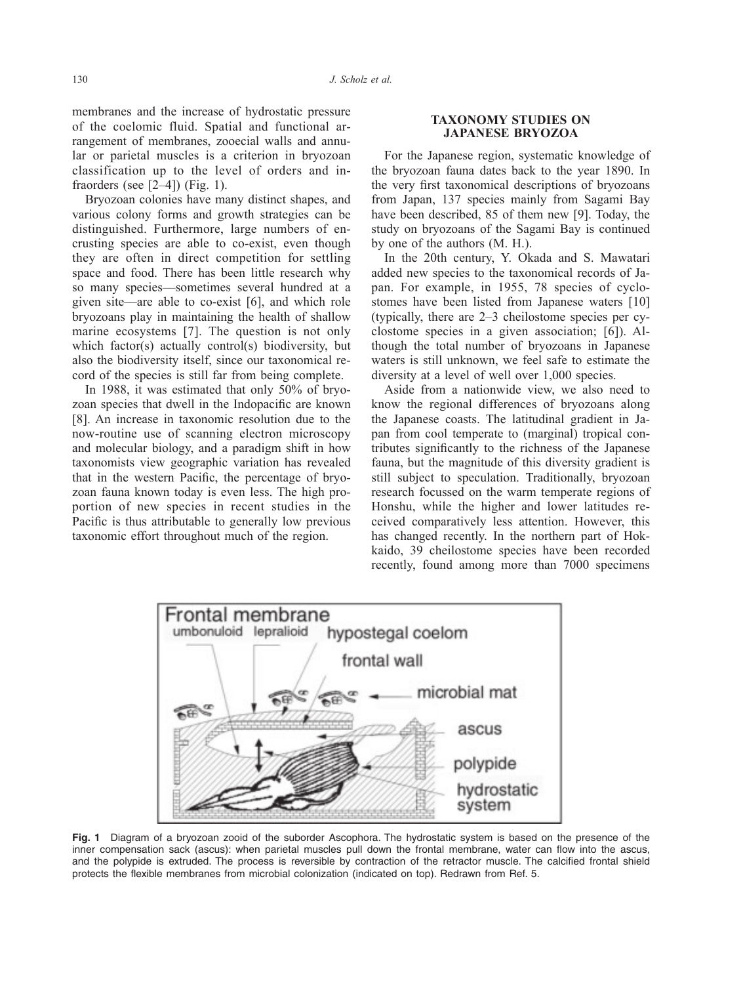membranes and the increase of hydrostatic pressure of the coelomic fluid. Spatial and functional arrangement of membranes, zooecial walls and annular or parietal muscles is a criterion in bryozoan classification up to the level of orders and infraorders (see  $[2-4]$ ) (Fig. 1).

Bryozoan colonies have many distinct shapes, and various colony forms and growth strategies can be distinguished. Furthermore, large numbers of encrusting species are able to co-exist, even though they are often in direct competition for settling space and food. There has been little research why so many species––sometimes several hundred at a given site––are able to co-exist [6], and which role bryozoans play in maintaining the health of shallow marine ecosystems [7]. The question is not only which factor(s) actually control(s) biodiversity, but also the biodiversity itself, since our taxonomical record of the species is still far from being complete.

In 1988, it was estimated that only 50% of bryozoan species that dwell in the Indopacific are known [8]. An increase in taxonomic resolution due to the now-routine use of scanning electron microscopy and molecular biology, and a paradigm shift in how taxonomists view geographic variation has revealed that in the western Pacific, the percentage of bryozoan fauna known today is even less. The high proportion of new species in recent studies in the Pacific is thus attributable to generally low previous taxonomic effort throughout much of the region.

### **TAXONOMY STUDIES ON JAPANESE BRYOZOA**

For the Japanese region, systematic knowledge of the bryozoan fauna dates back to the year 1890. In the very first taxonomical descriptions of bryozoans from Japan, 137 species mainly from Sagami Bay have been described, 85 of them new [9]. Today, the study on bryozoans of the Sagami Bay is continued by one of the authors (M. H.).

In the 20th century, Y. Okada and S. Mawatari added new species to the taxonomical records of Japan. For example, in 1955, 78 species of cyclostomes have been listed from Japanese waters [10] (typically, there are 2–3 cheilostome species per cyclostome species in a given association; [6]). Although the total number of bryozoans in Japanese waters is still unknown, we feel safe to estimate the diversity at a level of well over 1,000 species.

Aside from a nationwide view, we also need to know the regional differences of bryozoans along the Japanese coasts. The latitudinal gradient in Japan from cool temperate to (marginal) tropical contributes significantly to the richness of the Japanese fauna, but the magnitude of this diversity gradient is still subject to speculation. Traditionally, bryozoan research focussed on the warm temperate regions of Honshu, while the higher and lower latitudes received comparatively less attention. However, this has changed recently. In the northern part of Hokkaido, 39 cheilostome species have been recorded recently, found among more than 7000 specimens



**Fig. 1** Diagram of a bryozoan zooid of the suborder Ascophora. The hydrostatic system is based on the presence of the inner compensation sack (ascus): when parietal muscles pull down the frontal membrane, water can flow into the ascus, and the polypide is extruded. The process is reversible by contraction of the retractor muscle. The calcified frontal shield protects the flexible membranes from microbial colonization (indicated on top). Redrawn from Ref. 5.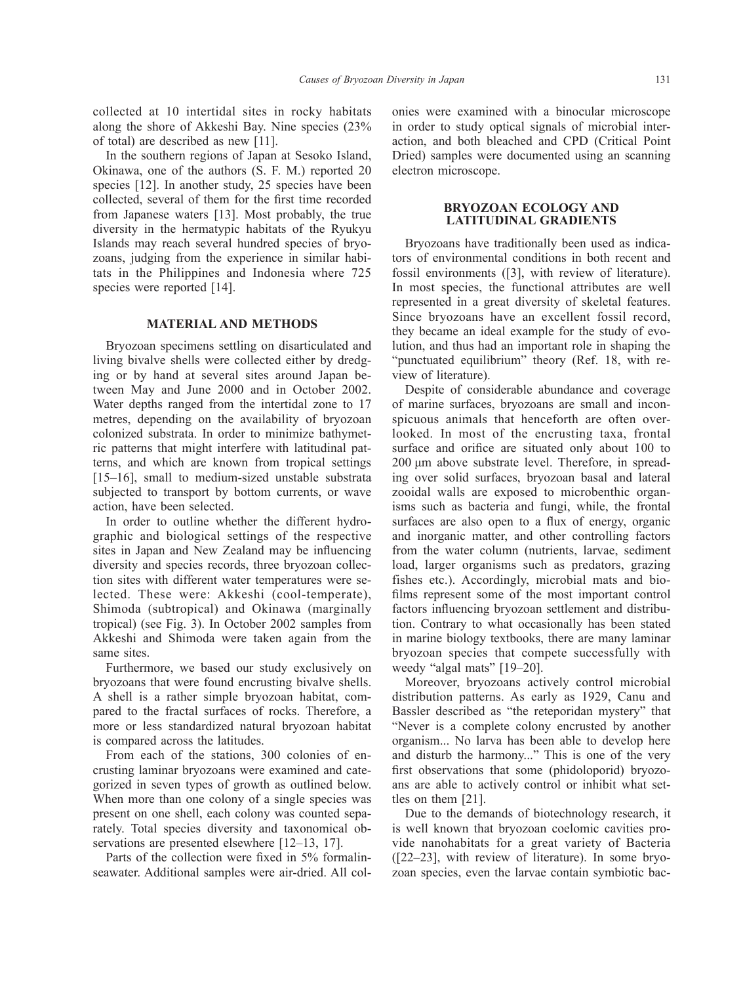collected at 10 intertidal sites in rocky habitats along the shore of Akkeshi Bay. Nine species (23% of total) are described as new [11].

In the southern regions of Japan at Sesoko Island, Okinawa, one of the authors (S. F. M.) reported 20 species [12]. In another study, 25 species have been collected, several of them for the first time recorded from Japanese waters [13]. Most probably, the true diversity in the hermatypic habitats of the Ryukyu Islands may reach several hundred species of bryozoans, judging from the experience in similar habitats in the Philippines and Indonesia where 725 species were reported [14].

# **MATERIAL AND METHODS**

Bryozoan specimens settling on disarticulated and living bivalve shells were collected either by dredging or by hand at several sites around Japan between May and June 2000 and in October 2002. Water depths ranged from the intertidal zone to 17 metres, depending on the availability of bryozoan colonized substrata. In order to minimize bathymetric patterns that might interfere with latitudinal patterns, and which are known from tropical settings [15–16], small to medium-sized unstable substrata subjected to transport by bottom currents, or wave action, have been selected.

In order to outline whether the different hydrographic and biological settings of the respective sites in Japan and New Zealand may be influencing diversity and species records, three bryozoan collection sites with different water temperatures were selected. These were: Akkeshi (cool-temperate), Shimoda (subtropical) and Okinawa (marginally tropical) (see Fig. 3). In October 2002 samples from Akkeshi and Shimoda were taken again from the same sites.

Furthermore, we based our study exclusively on bryozoans that were found encrusting bivalve shells. A shell is a rather simple bryozoan habitat, compared to the fractal surfaces of rocks. Therefore, a more or less standardized natural bryozoan habitat is compared across the latitudes.

From each of the stations, 300 colonies of encrusting laminar bryozoans were examined and categorized in seven types of growth as outlined below. When more than one colony of a single species was present on one shell, each colony was counted separately. Total species diversity and taxonomical observations are presented elsewhere [12–13, 17].

Parts of the collection were fixed in 5% formalinseawater. Additional samples were air-dried. All colonies were examined with a binocular microscope in order to study optical signals of microbial interaction, and both bleached and CPD (Critical Point Dried) samples were documented using an scanning electron microscope.

### **BRYOZOAN ECOLOGY AND LATITUDINAL GRADIENTS**

Bryozoans have traditionally been used as indicators of environmental conditions in both recent and fossil environments ([3], with review of literature). In most species, the functional attributes are well represented in a great diversity of skeletal features. Since bryozoans have an excellent fossil record, they became an ideal example for the study of evolution, and thus had an important role in shaping the "punctuated equilibrium" theory (Ref. 18, with review of literature).

Despite of considerable abundance and coverage of marine surfaces, bryozoans are small and inconspicuous animals that henceforth are often overlooked. In most of the encrusting taxa, frontal surface and orifice are situated only about 100 to 200 μm above substrate level. Therefore, in spreading over solid surfaces, bryozoan basal and lateral zooidal walls are exposed to microbenthic organisms such as bacteria and fungi, while, the frontal surfaces are also open to a flux of energy, organic and inorganic matter, and other controlling factors from the water column (nutrients, larvae, sediment load, larger organisms such as predators, grazing fishes etc.). Accordingly, microbial mats and biofilms represent some of the most important control factors influencing bryozoan settlement and distribution. Contrary to what occasionally has been stated in marine biology textbooks, there are many laminar bryozoan species that compete successfully with weedy "algal mats" [19–20].

Moreover, bryozoans actively control microbial distribution patterns. As early as 1929, Canu and Bassler described as "the reteporidan mystery" that "Never is a complete colony encrusted by another organism... No larva has been able to develop here and disturb the harmony..." This is one of the very first observations that some (phidoloporid) bryozoans are able to actively control or inhibit what settles on them [21].

Due to the demands of biotechnology research, it is well known that bryozoan coelomic cavities provide nanohabitats for a great variety of Bacteria ([22–23], with review of literature). In some bryozoan species, even the larvae contain symbiotic bac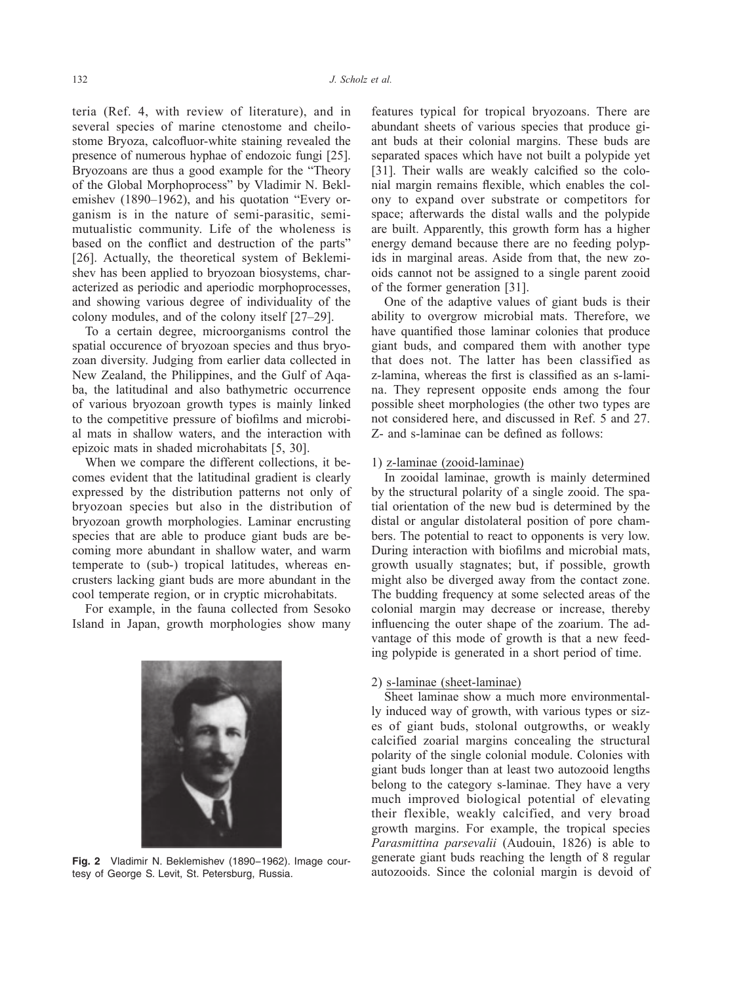teria (Ref. 4, with review of literature), and in several species of marine ctenostome and cheilostome Bryoza, calcofluor-white staining revealed the presence of numerous hyphae of endozoic fungi [25]. Bryozoans are thus a good example for the "Theory of the Global Morphoprocess" by Vladimir N. Beklemishev (1890–1962), and his quotation "Every organism is in the nature of semi-parasitic, semimutualistic community. Life of the wholeness is based on the conflict and destruction of the parts" [26]. Actually, the theoretical system of Beklemishev has been applied to bryozoan biosystems, characterized as periodic and aperiodic morphoprocesses, and showing various degree of individuality of the colony modules, and of the colony itself [27–29].

To a certain degree, microorganisms control the spatial occurence of bryozoan species and thus bryozoan diversity. Judging from earlier data collected in New Zealand, the Philippines, and the Gulf of Aqaba, the latitudinal and also bathymetric occurrence of various bryozoan growth types is mainly linked to the competitive pressure of biofilms and microbial mats in shallow waters, and the interaction with epizoic mats in shaded microhabitats [5, 30].

When we compare the different collections, it becomes evident that the latitudinal gradient is clearly expressed by the distribution patterns not only of bryozoan species but also in the distribution of bryozoan growth morphologies. Laminar encrusting species that are able to produce giant buds are becoming more abundant in shallow water, and warm temperate to (sub-) tropical latitudes, whereas encrusters lacking giant buds are more abundant in the cool temperate region, or in cryptic microhabitats.

For example, in the fauna collected from Sesoko Island in Japan, growth morphologies show many



**Fig. 2** Vladimir N. Beklemishev (1890−1962). Image courtesy of George S. Levit, St. Petersburg, Russia.

features typical for tropical bryozoans. There are abundant sheets of various species that produce giant buds at their colonial margins. These buds are separated spaces which have not built a polypide yet [31]. Their walls are weakly calcified so the colonial margin remains flexible, which enables the colony to expand over substrate or competitors for space; afterwards the distal walls and the polypide are built. Apparently, this growth form has a higher energy demand because there are no feeding polypids in marginal areas. Aside from that, the new zooids cannot not be assigned to a single parent zooid of the former generation [31].

One of the adaptive values of giant buds is their ability to overgrow microbial mats. Therefore, we have quantified those laminar colonies that produce giant buds, and compared them with another type that does not. The latter has been classified as z-lamina, whereas the first is classified as an s-lamina. They represent opposite ends among the four possible sheet morphologies (the other two types are not considered here, and discussed in Ref. 5 and 27. Z- and s-laminae can be defined as follows:

## 1) z-laminae (zooid-laminae)

In zooidal laminae, growth is mainly determined by the structural polarity of a single zooid. The spatial orientation of the new bud is determined by the distal or angular distolateral position of pore chambers. The potential to react to opponents is very low. During interaction with biofilms and microbial mats, growth usually stagnates; but, if possible, growth might also be diverged away from the contact zone. The budding frequency at some selected areas of the colonial margin may decrease or increase, thereby influencing the outer shape of the zoarium. The advantage of this mode of growth is that a new feeding polypide is generated in a short period of time.

#### 2) s-laminae (sheet-laminae)

Sheet laminae show a much more environmentally induced way of growth, with various types or sizes of giant buds, stolonal outgrowths, or weakly calcified zoarial margins concealing the structural polarity of the single colonial module. Colonies with giant buds longer than at least two autozooid lengths belong to the category s-laminae. They have a very much improved biological potential of elevating their flexible, weakly calcified, and very broad growth margins. For example, the tropical species *Parasmittina parsevalii* (Audouin, 1826) is able to generate giant buds reaching the length of 8 regular autozooids. Since the colonial margin is devoid of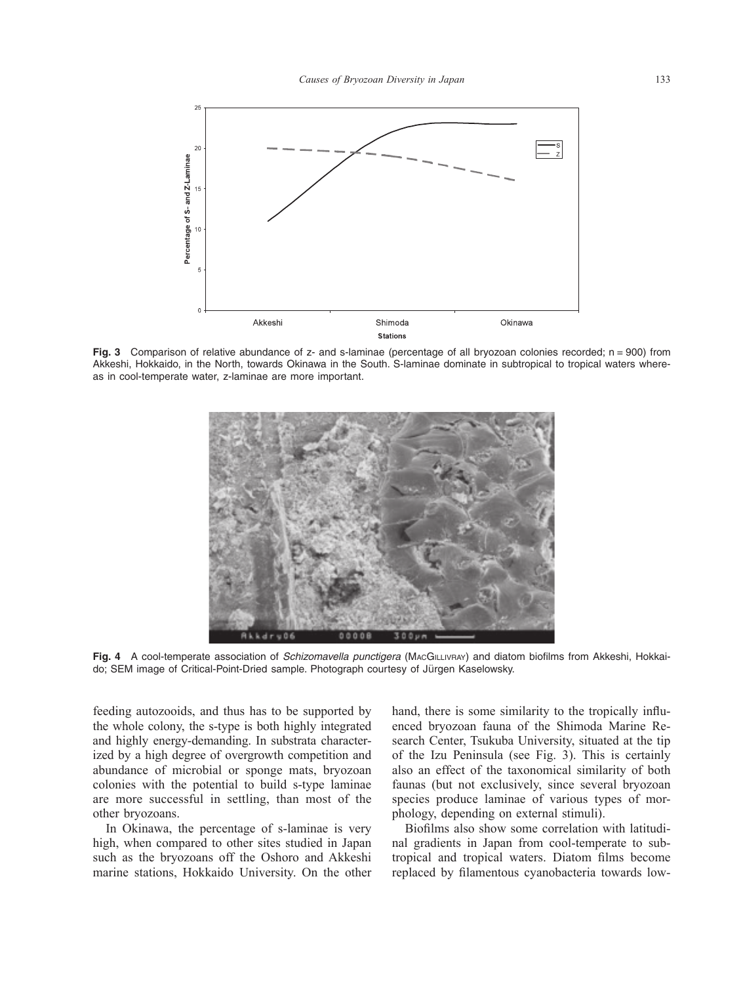

**Fig. 3** Comparison of relative abundance of z- and s-laminae (percentage of all bryozoan colonies recorded; n = 900) from Akkeshi, Hokkaido, in the North, towards Okinawa in the South. S-laminae dominate in subtropical to tropical waters whereas in cool-temperate water, z-laminae are more important.



**Fig. 4** A cool-temperate association of *Schizomavella punctigera* (MAcGILLIVRAY) and diatom biofilms from Akkeshi, Hokkaido; SEM image of Critical-Point-Dried sample. Photograph courtesy of Jürgen Kaselowsky.

feeding autozooids, and thus has to be supported by the whole colony, the s-type is both highly integrated and highly energy-demanding. In substrata characterized by a high degree of overgrowth competition and abundance of microbial or sponge mats, bryozoan colonies with the potential to build s-type laminae are more successful in settling, than most of the other bryozoans.

In Okinawa, the percentage of s-laminae is very high, when compared to other sites studied in Japan such as the bryozoans off the Oshoro and Akkeshi marine stations, Hokkaido University. On the other

hand, there is some similarity to the tropically influenced bryozoan fauna of the Shimoda Marine Research Center, Tsukuba University, situated at the tip of the Izu Peninsula (see Fig. 3). This is certainly also an effect of the taxonomical similarity of both faunas (but not exclusively, since several bryozoan species produce laminae of various types of morphology, depending on external stimuli).

Biofilms also show some correlation with latitudinal gradients in Japan from cool-temperate to subtropical and tropical waters. Diatom films become replaced by filamentous cyanobacteria towards low-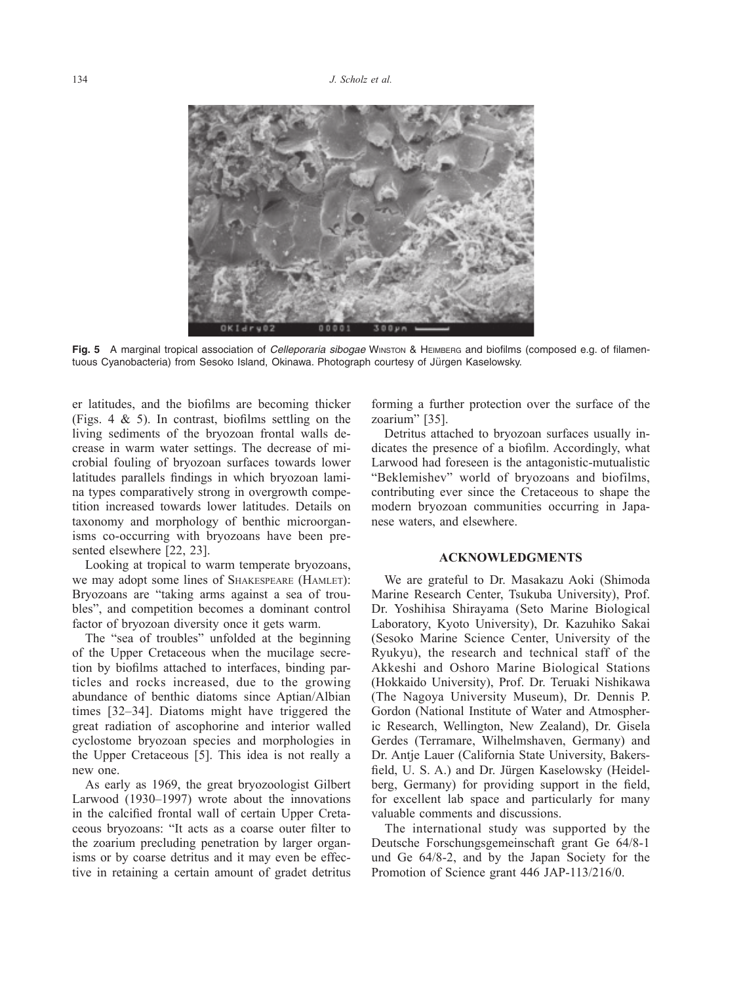

**Fig. 5** A marginal tropical association of *Celleporaria sibogae* Winston & Heimberg and biofilms (composed e.g. of filamentuous Cyanobacteria) from Sesoko Island, Okinawa. Photograph courtesy of Jürgen Kaselowsky.

er latitudes, and the biofilms are becoming thicker (Figs.  $4 \& 5$ ). In contrast, biofilms settling on the living sediments of the bryozoan frontal walls decrease in warm water settings. The decrease of microbial fouling of bryozoan surfaces towards lower latitudes parallels findings in which bryozoan lamina types comparatively strong in overgrowth competition increased towards lower latitudes. Details on taxonomy and morphology of benthic microorganisms co-occurring with bryozoans have been presented elsewhere [22, 23].

Looking at tropical to warm temperate bryozoans, we may adopt some lines of Shakespeare (Hamlet): Bryozoans are "taking arms against a sea of troubles", and competition becomes a dominant control factor of bryozoan diversity once it gets warm.

The "sea of troubles" unfolded at the beginning of the Upper Cretaceous when the mucilage secretion by biofilms attached to interfaces, binding particles and rocks increased, due to the growing abundance of benthic diatoms since Aptian/Albian times [32–34]. Diatoms might have triggered the great radiation of ascophorine and interior walled cyclostome bryozoan species and morphologies in the Upper Cretaceous [5]. This idea is not really a new one.

As early as 1969, the great bryozoologist Gilbert Larwood (1930–1997) wrote about the innovations in the calcified frontal wall of certain Upper Cretaceous bryozoans: "It acts as a coarse outer filter to the zoarium precluding penetration by larger organisms or by coarse detritus and it may even be effective in retaining a certain amount of gradet detritus

forming a further protection over the surface of the zoarium" [35].

Detritus attached to bryozoan surfaces usually indicates the presence of a biofilm. Accordingly, what Larwood had foreseen is the antagonistic-mutualistic "Beklemishev" world of bryozoans and biofilms, contributing ever since the Cretaceous to shape the modern bryozoan communities occurring in Japanese waters, and elsewhere.

#### **ACKNOWLEDGMENTS**

We are grateful to Dr. Masakazu Aoki (Shimoda Marine Research Center, Tsukuba University), Prof. Dr. Yoshihisa Shirayama (Seto Marine Biological Laboratory, Kyoto University), Dr. Kazuhiko Sakai (Sesoko Marine Science Center, University of the Ryukyu), the research and technical staff of the Akkeshi and Oshoro Marine Biological Stations (Hokkaido University), Prof. Dr. Teruaki Nishikawa (The Nagoya University Museum), Dr. Dennis P. Gordon (National Institute of Water and Atmospheric Research, Wellington, New Zealand), Dr. Gisela Gerdes (Terramare, Wilhelmshaven, Germany) and Dr. Antie Lauer (California State University, Bakersfield, U. S. A.) and Dr. Jürgen Kaselowsky (Heidelberg, Germany) for providing support in the field, for excellent lab space and particularly for many valuable comments and discussions.

The international study was supported by the Deutsche Forschungsgemeinschaft grant Ge 64/8-1 und Ge 64/8-2, and by the Japan Society for the Promotion of Science grant 446 JAP-113/216/0.